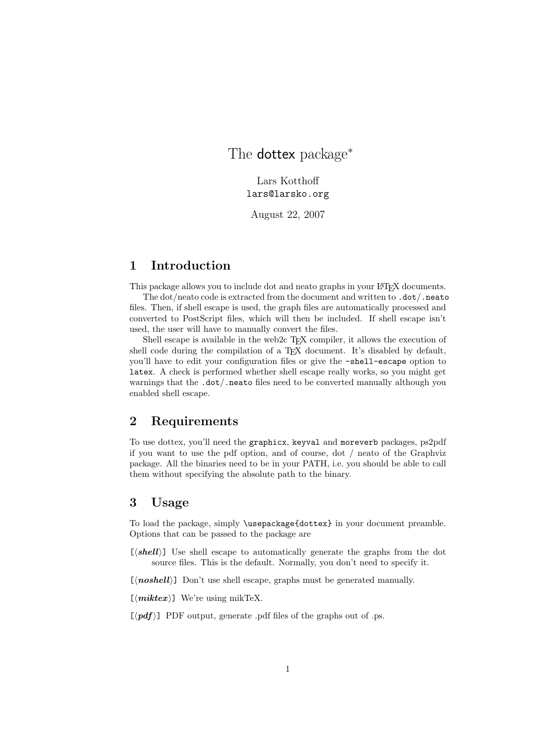The **dottex** package<sup>\*</sup>

Lars Kotthoff lars@larsko.org

August 22, 2007

# 1 Introduction

This package allows you to include dot and neato graphs in your LATEX documents.

The dot/neato code is extracted from the document and written to .dot/.neato files. Then, if shell escape is used, the graph files are automatically processed and converted to PostScript files, which will then be included. If shell escape isn't used, the user will have to manually convert the files.

Shell escape is available in the web2c T<sub>E</sub>X compiler, it allows the execution of shell code during the compilation of a T<sub>E</sub>X document. It's disabled by default, you'll have to edit your configuration files or give the -shell-escape option to latex. A check is performed whether shell escape really works, so you might get warnings that the .dot/.neato files need to be converted manually although you enabled shell escape.

## 2 Requirements

To use dottex, you'll need the graphicx, keyval and moreverb packages, ps2pdf if you want to use the pdf option, and of course, dot / neato of the Graphviz package. All the binaries need to be in your PATH, i.e. you should be able to call them without specifying the absolute path to the binary.

## 3 Usage

To load the package, simply \usepackage{dottex} in your document preamble. Options that can be passed to the package are

 $[\langle shell \rangle]$  Use shell escape to automatically generate the graphs from the dot source files. This is the default. Normally, you don't need to specify it.

 $[\langle \textit{noshell}\rangle]$  Don't use shell escape, graphs must be generated manually.

 $[\langle miktext\rangle]$  We're using mikTeX.

 $[\langle pdf \rangle]$  PDF output, generate .pdf files of the graphs out of .ps.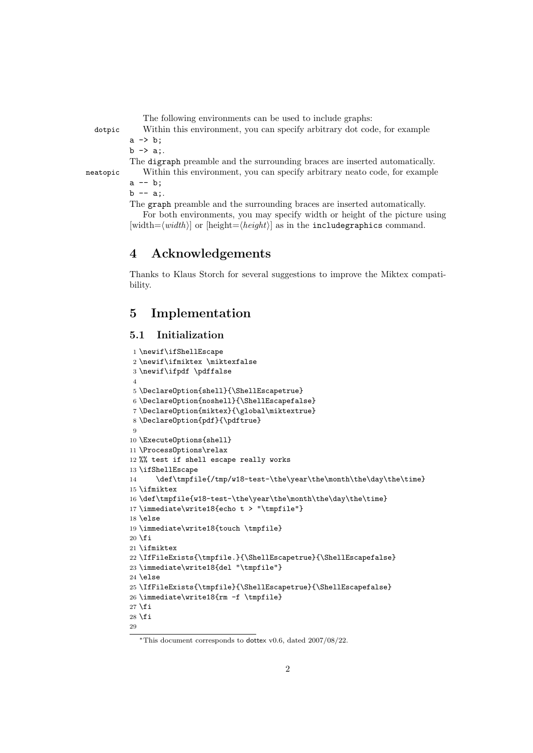The following environments can be used to include graphs:

dotpic Within this environment, you can specify arbitrary dot code, for example

 $a \rightarrow b$ ;  $b \rightarrow a$ ;

The digraph preamble and the surrounding braces are inserted automatically.

neatopic Within this environment, you can specify arbitrary neato code, for example  $a -- b$ ;

 $b$  -- a:.

The graph preamble and the surrounding braces are inserted automatically. For both environments, you may specify width or height of the picture using  $[\text{width}=\langle \text{width}\rangle]$  or  $[\text{height}=\langle \text{height}\rangle]$  as in the includegraphics command.

## 4 Acknowledgements

Thanks to Klaus Storch for several suggestions to improve the Miktex compatibility.

# 5 Implementation

#### 5.1 Initialization

```
1 \newif\ifShellEscape
 2 \newif\ifmiktex \miktexfalse
 3 \newif\ifpdf \pdffalse
 4
5 \DeclareOption{shell}{\ShellEscapetrue}
 6 \DeclareOption{noshell}{\ShellEscapefalse}
7 \DeclareOption{miktex}{\global\miktextrue}
8 \DeclareOption{pdf}{\pdftrue}
\alpha10 \ExecuteOptions{shell}
11 \ProcessOptions\relax
12 %% test if shell escape really works
13 \ifShellEscape
14 \def\tmpfile{/tmp/w18-test-\the\year\the\month\the\day\the\time}
15 \ifmiktex
16 \def\tmpfile{w18-test-\the\year\the\month\the\day\the\time}
17 \immediate\write18{echo t > "\tmpfile"}
18 \else
19 \immediate\write18{touch \tmpfile}
20 \text{ Yfi}21 \ifmiktex
22 \IfFileExists{\tmpfile.}{\ShellEscapetrue}{\ShellEscapefalse}
23 \immediate\write18{del "\tmpfile"}
24 \else
25 \IfFileExists{\tmpfile}{\ShellEscapetrue}{\ShellEscapefalse}
26 \immediate\write18{rm -f \tmpfile}
27 \fi
28 \xi29
```
<sup>∗</sup>This document corresponds to dottex v0.6, dated 2007/08/22.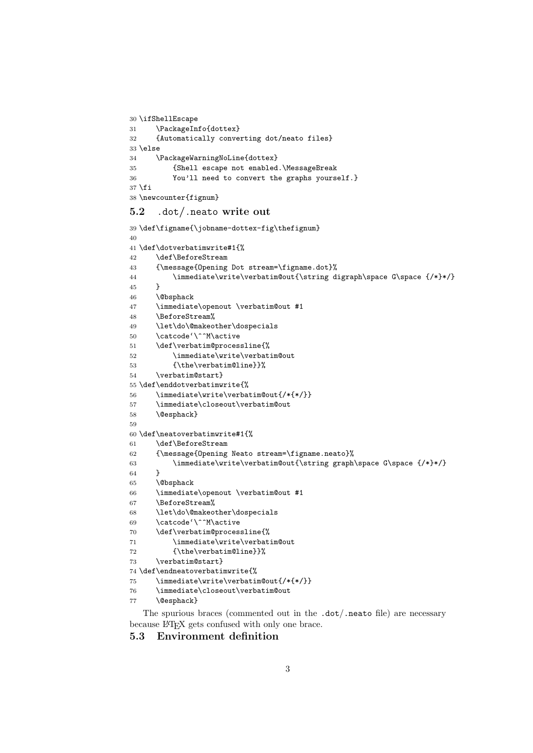```
30 \ifShellEscape
31 \PackageInfo{dottex}
32 {Automatically converting dot/neato files}
33 \else
34 \PackageWarningNoLine{dottex}
35 {Shell escape not enabled.\MessageBreak
36 You'll need to convert the graphs yourself.}
37 \fi
38 \newcounter{fignum}
```
#### 5.2 .dot/.neato write out

```
39 \def\figname{\jobname-dottex-fig\thefignum}
40
41 \def\dotverbatimwrite#1{%
42 \def\BeforeStream
43 {\message{Opening Dot stream=\figname.dot}%
44 \immediate\write\verbatim@out{\string digraph\space G\space {/*}*/}
45 }
46 \@bsphack
47 \immediate\openout \verbatim@out #1
48 \BeforeStream%
49 \let\do\@makeother\dospecials
50 \catcode'\^^M\active
51 \def\verbatim@processline{%
52 \immediate\write\verbatim@out
53 {\the\verbatim@line}}%
54 \verbatim@start}
55 \def\enddotverbatimwrite{%
56 \immediate\write\verbatim@out{/*{*/}}
57 \immediate\closeout\verbatim@out
58 \@esphack}
59
60 \def\neatoverbatimwrite#1{%
61 \def\BeforeStream
62 {\message{Opening Neato stream=\figname.neato}%
63 \immediate\write\verbatim@out{\string graph\space G\space {/*}*/}
64 }
65 \@bsphack
66 \immediate\openout \verbatim@out #1
67 \BeforeStream%
68 \let\do\@makeother\dospecials
69 \catcode'\^^M\active
70 \def\verbatim@processline{%
71 \immediate\write\verbatim@out
72 {\the\verbatim@line}}%
73 \verbatim@start}
74 \def\endneatoverbatimwrite{%
75 \immediate\write\verbatim@out{/*{*/}}
76 \immediate\closeout\verbatim@out
77 \@esphack}
```
The spurious braces (commented out in the .dot/.neato file) are necessary because LATEX gets confused with only one brace.

5.3 Environment definition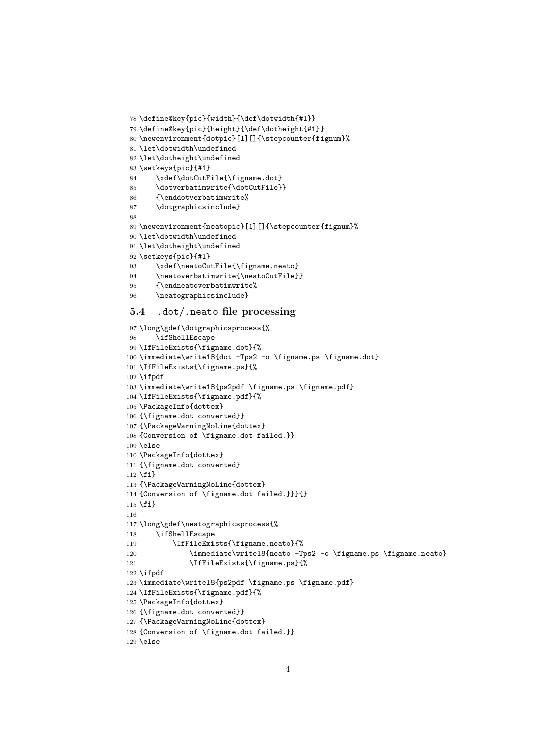```
78 \define@key{pic}{width}{\def\dotwidth{#1}}
79 \define@key{pic}{height}{\def\dotheight{#1}}
80 \newenvironment{dotpic}[1][]{\stepcounter{fignum}%
81 \let\dotwidth\undefined
82 \let\dotheight\undefined
83 \setkeys{pic}{#1}
84 \xdef\dotCutFile{\figname.dot}
85 \dotverbatimwrite{\dotCutFile}}
86 {\enddotverbatimwrite%
87 \dotgraphicsinclude}
88
89 \newenvironment{neatopic}[1][]{\stepcounter{fignum}%
90 \let\dotwidth\undefined
91 \let\dotheight\undefined
92 \setkeys{pic}{#1}
93 \xdef\neatoCutFile{\figname.neato}
94 \neatoverbatimwrite{\neatoCutFile}}
95 {\endneatoverbatimwrite%
96 \neatographicsinclude}
```
#### 5.4 .dot/.neato file processing

```
97 \long\gdef\dotgraphicsprocess{%
98 \ifShellEscape
99 \IfFileExists{\figname.dot}{%
100 \immediate\write18{dot -Tps2 -o \figname.ps \figname.dot}
101 \IfFileExists{\figname.ps}{%
102 \ifpdf
103 \immediate\write18{ps2pdf \figname.ps \figname.pdf}
104 \IfFileExists{\figname.pdf}{%
105 \PackageInfo{dottex}
106 {\figname.dot converted}}
107 {\PackageWarningNoLine{dottex}
108 {Conversion of \figname.dot failed.}}
109 \else
110 \PackageInfo{dottex}
111 {\figname.dot converted}
112 \fi}
113 {\PackageWarningNoLine{dottex}
114 {Conversion of \figname.dot failed.}}}{}
115 \fi}
116
117 \long\gdef\neatographicsprocess{%
118 \ifShellEscape
119 \IfFileExists{\figname.neato}{%
120 \immediate\write18{neato -Tps2 -o \figname.ps \figname.neato}
121 \IfFileExists{\figname.ps}{%
122 \ifpdf
123 \immediate\write18{ps2pdf \figname.ps \figname.pdf}
124 \IfFileExists{\figname.pdf}{%
125 \PackageInfo{dottex}
126 {\figname.dot converted}}
127 {\PackageWarningNoLine{dottex}
128 {Conversion of \figname.dot failed.}}
129 \else
```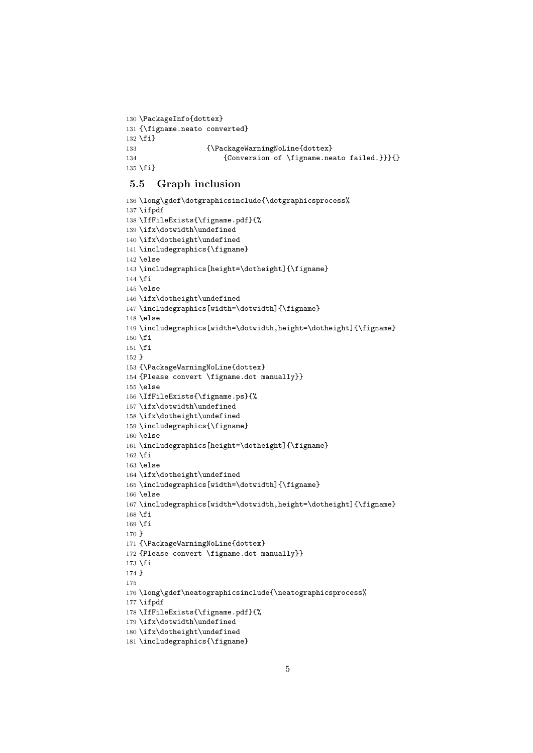```
130 \PackageInfo{dottex}
131 {\figname.neato converted}
132 \fi}
133 {\PackageWarningNoLine{dottex}
134 {Conversion of \figname.neato failed.}}}{}
135 \fi}
```
### 5.5 Graph inclusion

```
136 \long\gdef\dotgraphicsinclude{\dotgraphicsprocess%
137 \ifpdf
138 \IfFileExists{\figname.pdf}{%
139 \ifx\dotwidth\undefined
140 \ifx\dotheight\undefined
141 \includegraphics{\figname}
142 \else
143 \includegraphics[height=\dotheight]{\figname}
144 \overline{14}145 \else
146 \ifx\dotheight\undefined
147 \includegraphics[width=\dotwidth]{\figname}
148 \else
149 \includegraphics[width=\dotwidth,height=\dotheight]{\figname}
150 \fi
151 \fi
152 }
153 {\PackageWarningNoLine{dottex}
154 {Please convert \figname.dot manually}}
155 \else
156 \IfFileExists{\figname.ps}{%
157 \ifx\dotwidth\undefined
158 \ifx\dotheight\undefined
159 \includegraphics{\figname}
160 \else
161 \includegraphics[height=\dotheight]{\figname}
162 \fi
163 \else
164 \ifx\dotheight\undefined
165 \includegraphics[width=\dotwidth]{\figname}
166 \else
167 \includegraphics[width=\dotwidth,height=\dotheight]{\figname}
168 \overline{16}169 \overline{169}170 }
171 {\PackageWarningNoLine{dottex}
172 {Please convert \figname.dot manually}}
173 \fi
174 }
175
176 \long\gdef\neatographicsinclude{\neatographicsprocess%
177 \ifpdf
178 \IfFileExists{\figname.pdf}{%
179 \ifx\dotwidth\undefined
180 \ifx\dotheight\undefined
181 \includegraphics{\figname}
```